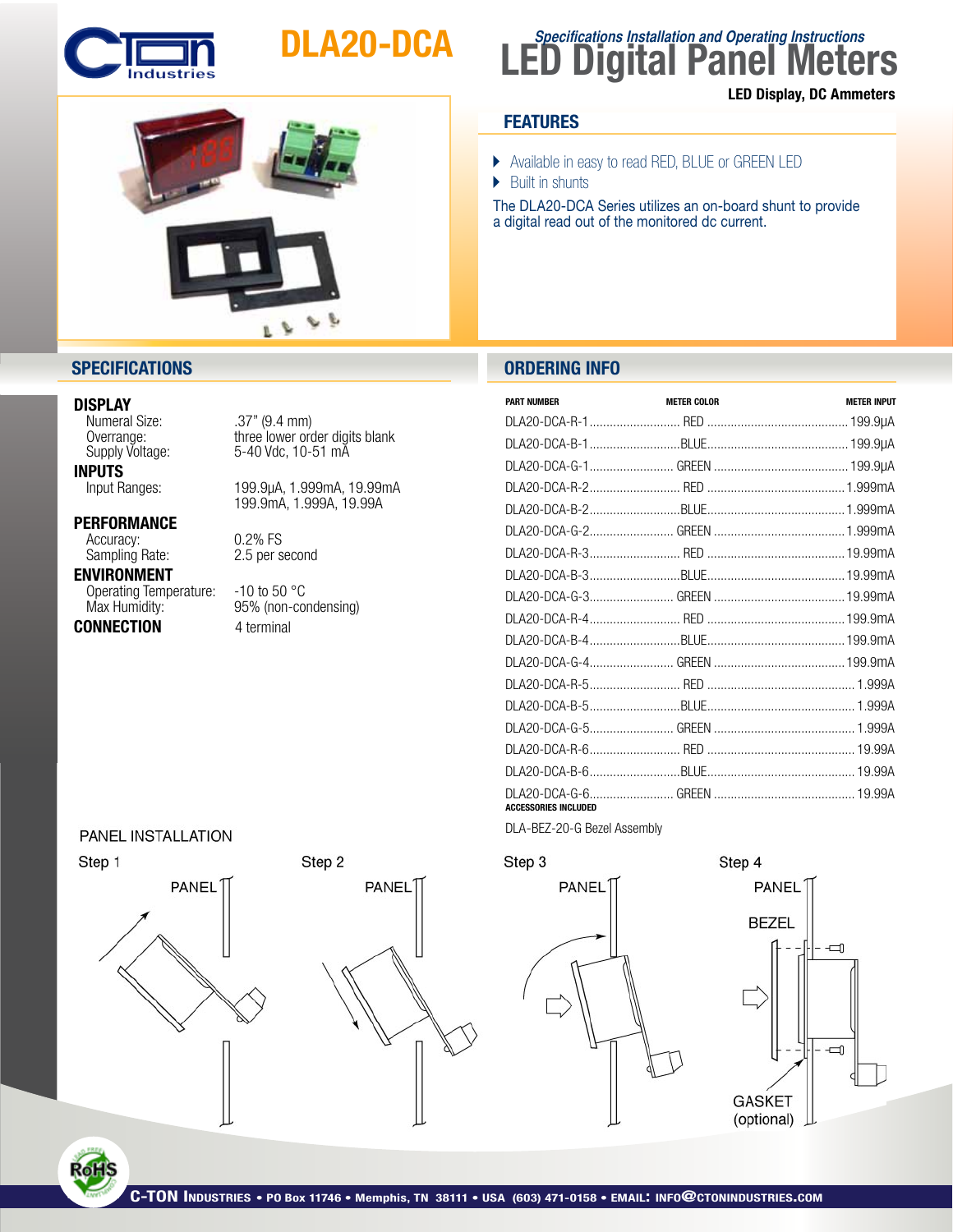

# DLA20-DCA



# **LED Digital Panel Meters Specifications Installation and Operating Instructions** LED Display, DC Ammeters

# **FEATURES**

- } Available in easy to read RED, BLUE or GREEN LED
- $\blacktriangleright$  Built in shunts

The DLA20-DCA Series utilizes an on-board shunt to provide a digital read out of the monitored dc current.

## **SPECIFICATIONS ORDERING INFO**

| <b>PART NUMBER</b>          | <b>METER COLOR</b> | <b>METER INPUT</b> |
|-----------------------------|--------------------|--------------------|
|                             |                    |                    |
|                             |                    |                    |
|                             |                    |                    |
|                             |                    |                    |
|                             |                    |                    |
|                             |                    |                    |
|                             |                    |                    |
|                             |                    |                    |
|                             |                    |                    |
|                             |                    |                    |
|                             |                    |                    |
|                             |                    |                    |
|                             |                    |                    |
|                             |                    |                    |
|                             |                    |                    |
|                             |                    |                    |
|                             |                    |                    |
| <b>ACCESSORIES INCLUDED</b> |                    |                    |

DLA-BEZ-20-G Bezel Assembly



**PANEL BEZEL** 

Step 4



### DISPLAY

**INPUTS**<br>Input Ranges:

PERFORMANCE

Accuracy: 0.2% FS<br>
Sampling Rate: 2.5 per s

ENVIRONMENT Operating Temperature: -10 to 50 °C<br>Max Humidity: 95% (non-co

**CONNECTION** 4 terminal

Numeral Size: . .37" (9.4 mm)<br>Overrange: three lower ord Overrange: three lower order digits blank<br>Supply Voltage: 5-40 Vdc, 10-51 mA 5-40 Vdc, 10-51 mA

> 199.9µA, 1.999mA, 19.99mA 199.9mA, 1.999A, 19.99A

2.5 per second

95% (non-condensing)

### PANEL INSTALLATION



RoHS